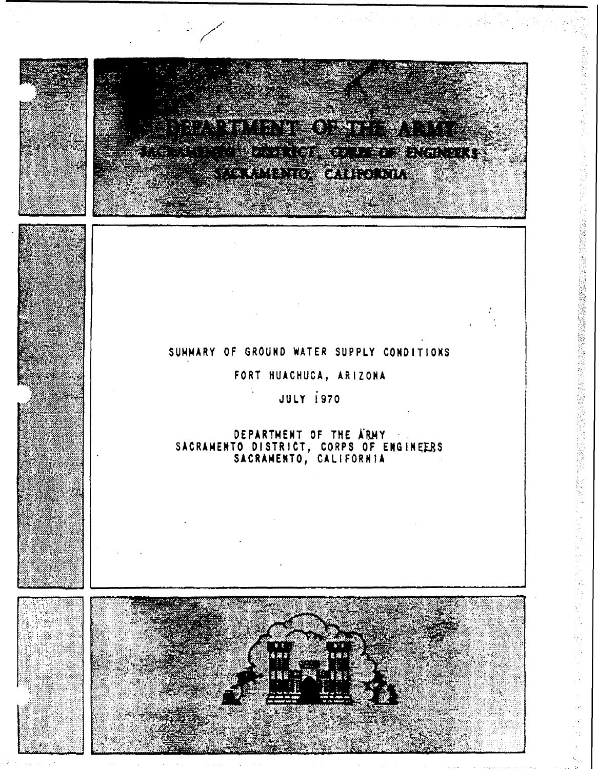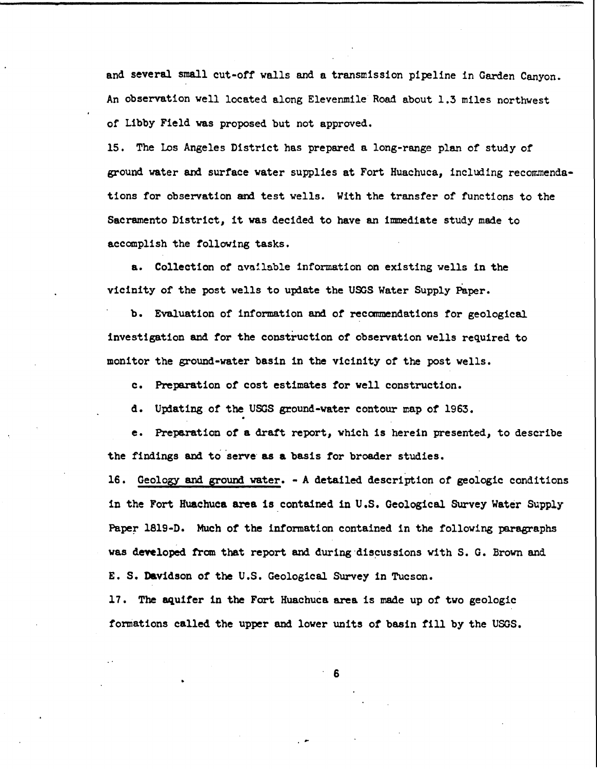and several small cut-off walls and a transmission pipeline in Garden Canyon. An observation well located along Elevenmile Road about 1.3 miles northwest of Libby Field was proposed but not approved.

15. The Los Angeles District has prepared a long-range plan of study of ground water and surface water supplies at Fort Huachuca, including recommendations for observation and test wells. With the transfer of functions to the Sacramento District, it was decided to have an immediate study made to accomplish the following tasks.

a. Collection of available information on existing wells in the vicinity of the post wells to update the UOOS Water Supply Paper.

b. Evaluation of information and of recanmendations for geological. investigation and for the construction of observation wells required to monitor the ground-water basin in the vicinity of the post wells.

c. Preparation of cost estimates for well construction.

d. Upiating or the USGS ground-water contour map of 1963.

e. Preparation of a draft report, which is herein presented, to describe the findings and to serve as a basis for broader studies.

16. Geology and ground water. - A detailed description of geologic conditions in the Fort Huachuca area is contained in U.S. Geological Survey Water Supply Paper 1819-D. Much of the information contained in the following paragraphs was developed from that report and during discussions with S. G. Brown and E. S. Davidson of the U.S. Geological Survey in Tucson.

17. The aquifer in the Fort Huachuca area is made up of two geologic formations called the upper and lover units *of* basin fill by the USGS.

. 6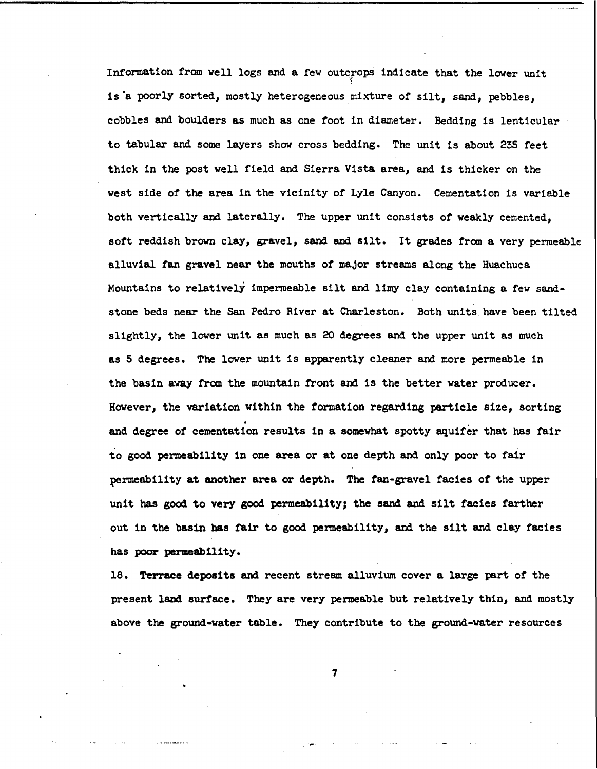Information from vell logs and a few outcrops indicate that the lower unit *·:*  is **·a** poorly sorted, mostly heterogeneous mixture of silt, sand, pebbles, cobbles and boulders as much as one foot in diameter. Bedding is lenticular to tabular and some layers show cross bedding. The unit is about 235 feet thick in the post vell field and Sierra Vista **area,** and is thicker on the vest side of the area in the vicinity of Lyle Canyon. Cementation is variable both vertically and laterally. The upper unit consists of veakly cemented, soft reddish brown clay, gravel, sand and silt. It grades from a very permeable alluvial fan gravel near the mouths *of* maJor streams along the Huachuca Mountains to relatively impermeable silt and limy clay containing a few sandstone beds near the San Pedro River at Charleston. Both units have been tilted slightly, the lover unit as much as 20 degrees and the upper unit as much as 5 degrees. The lover unit is apparently cleaner and more permeable in the basin away from the mountain front and is the better water producer. However, the variation vithin the formation regarding particle size, sorting . and degree of cementation results in a somewhat spotty aquifer that has fair to good permeability in one area or at one depth and only poor to fair permeability at another area or depth. The fan-gravel facies of the upper unit has good to very good permeability; the sand and silt facies farther out in the basin has fair to good penneability, and the silt and clay facies has poor permeability.

18. Terrace deposits and recent stream alluvium cover a large part of the present land surface. They are very penneable but relatively thin, and mostly above the ground-water table. They contribute to the ground-water resources

. 7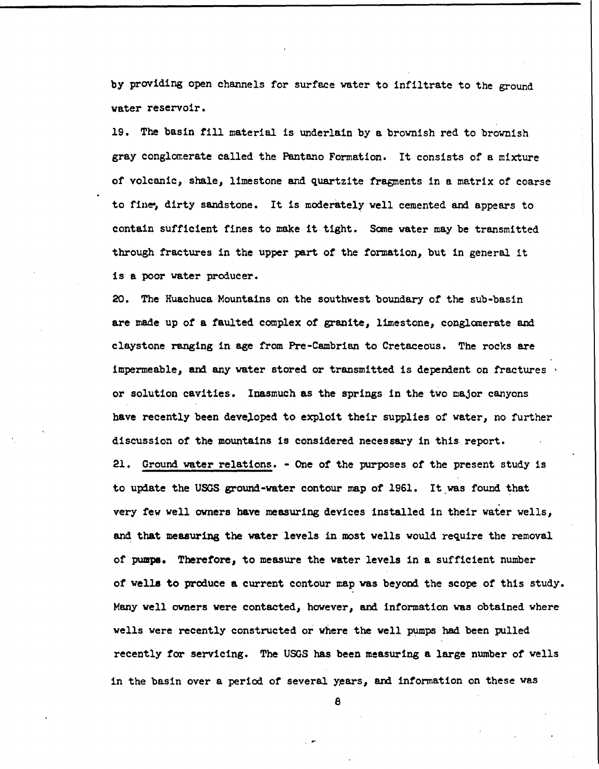by providing open channels for surface water to infiltrate to the ground **water** reservoir.

19. The basin fill material is underlain by a brownish red to brownish gray conglomerate called the Pantano Formation. It consists of a mixture of volcanic, shale, limestone and quartzite fragments in a matrix of coarse to fine-, dirty sandstone. It is moderately well cemented and appears to contain sufficient fines to make it tight. Sane water may be transmitted through fractures in the upper part of the formation, but in general it is a poor water producer.

20. The Huachuca Mountains on the southwest boundary of the sub-basin are made up of a faulted complex of granite, limestone, conglanerate and claystone ranging in age from Pre-Cambrian to Cretaceous. The rocks are impermeable, and any water stored or transmitted is dependent on fractures • or solution cavities. Inasmuch as the springs in the two major canyons have recently been developed to exploit their supplies of water, no further discussion of the mountains is considered necessary in this report.

21. Ground water relations. - One of the purposes of the present study is to update the USGS ground-water contour map of 1961. It was found that very few well owners have measuring devices installed in their water wells, and that measuring the water levels in most wells would require the removal of pumpe. Therefore, to measure the water levels in a sufficient number of **wells to** produce a current contour map was beyond the scope of this study. Many well owners were contacted, however, and information was obtained where wells were recently constructed or where the well pumps had been pulled recently for servicing. The USGS has been measuring a large number of wells in the basin over a period of several years, and information on these was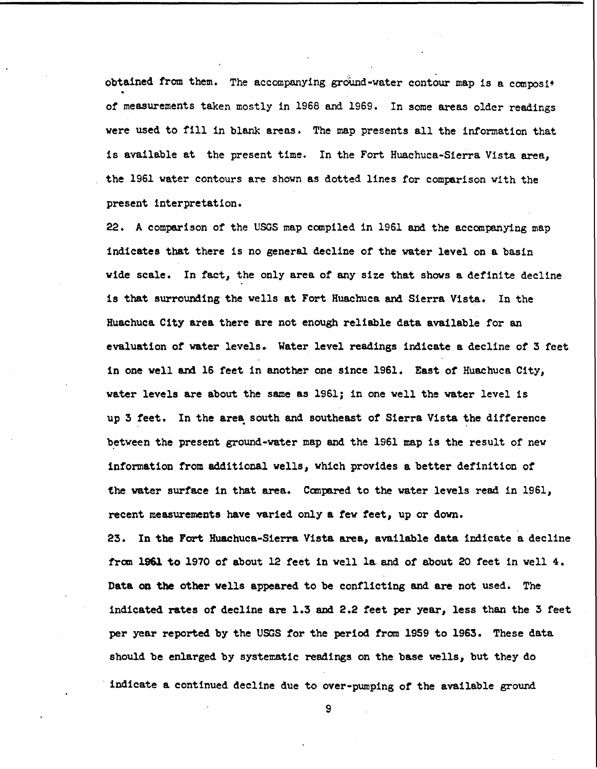obtained from them. The accompanying ground-water contour map is a composit of measurements taken mostly in 1968 and 1969. In some areas older readings were used to fill in blank areas. The map presents all the information that is available at the present time. In the Fort Huachuca-Sierra Vista area, the 1961 water contours are shown as dotted lines for comparison with the present interpretation.

22. A comparison of the USGS map compiled in 1961 and the accompanying map indicates that there is no general decline of the water level on a basin wide scale. In fact, the only area of any size that shows **a** definite decline is that surrounding the wells at Fort Huachuca and Sierra Vista. In the Huachuca City area there are not enough reliable data available for an evaluation of water levels. Water level readings indicate a decline of 3 feet in one well and 16 feet in another one since 1961. East of Huachuca City, water levels are about the same as 1961; in one well the water level is up 3 feet. In the area south and southeast of Sierra Vista the difference between the present ground-water map and the 1961 map is the result of new information from additional wells, which provides a better definition of the water surface in that area. Canpared to the water levels read in 1961, recent measurements have varied only a few feet, up or down.

23. In the Fort Huachuca-Sierra Vista area, available data indicate a decline from 1961 to 1970 of about 12 feet in well la.and of about 20 feet in well 4. Data on the other wells appeared to be conflicting and are not used. The indicated rates of decline are 1.3 and 2.2 feet per year, less than the 3 feet per year reported by the USGS tor the period from 1959 to 1963. These data should be enlarged by systematic readings on the base wells, but they do indicate a continued decline due to over-pumping of the available ground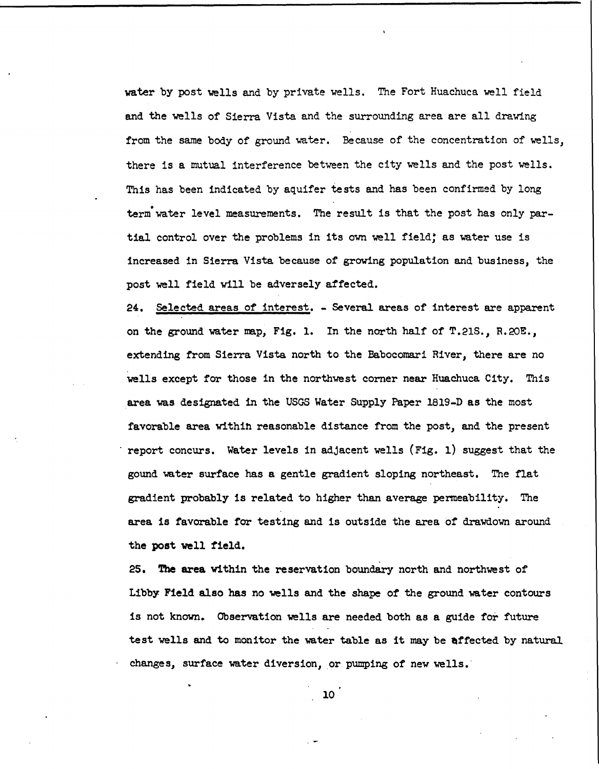water by post wells and by private wells. The Fort Huachuca well field and the wells of Sierra Vista and the surrounding area are all drawing from the same body of ground water. Because of the concentration of wells, there is a mutual interference between the city wells and the post wells. This has been indicated by aquifer tests and has been confirmed by long • term water level measurements. The result is that the post has only partial control over the problems in its own well field; as water use is increased in Sierra Vista because of growing population and business, the post well field will be adversely affected.

24. Selected areas of interest. - Several areas of interest are apparent on the ground water map, Fig. 1. In the north half of T.21S., R.20E., extending from Sierra Vista north to the Babocomari River, there are no wells except for those in the northwest corner near Huachuca City. This area was designated in the USGS Water Supply Paper 1819-D as the most favorable area withih reasonable distance from the post, and the present report concurs. Water levels in adjacent wells (Fig. 1) suggest that the gound water surface has a gentle gradient sloping northeast. The flat gradient probably is related to higher than average permeability. The area is favorable for testing and is outside the area of drawdown around the post well field.

25. **The area** within the reservation boundary north and northwest of Libby Field also has no wells and the shape of the ground water contours is not known. Observation wells are needed both as a guide for future test wells and to monitor the water table as it may be affected by natural changes, surface water diversion, or pumping of new wells.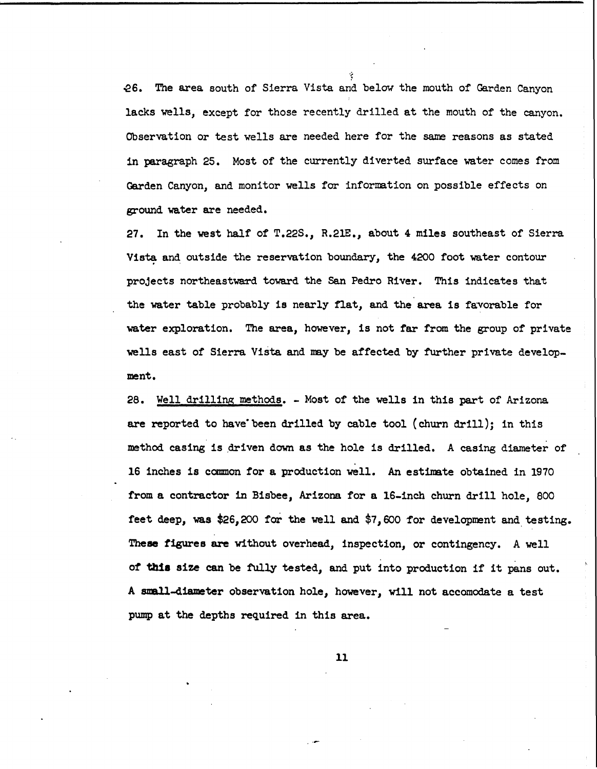.es. The area south of Sierra Vista and below the mouth of Garden Canyon lacks wells, except for those recently drilled at the mouth of the canyon. Observation or test wells are needed here for the same reasons as stated in paragraph 25. Most of the currently diverted surface water comes from Garden Canyon, and monitor wells for information on possible effects on ground water are needed.

-~

27. In the west half of T.22s., R.21E., about 4 miles southeast of Sierra Vista and outside the reservation boundary, the 4200 foot water contour projects northeastward toward the San Pedro River. This indicates that the water table probably is nearly fiat, and the area is favorable for water exploration. The area, however, is not far from the group of private wells east of Sierra Vista and may be affected by further private development.

28. Well drilling methods. - Most of the wells in this part of Arizona are reported to have"been drilled by cable tool (churn drill); in this method casing is driven down as the hole is drilled. A casing diameter of 16 inches is common for a production well. An estimate obtained in 1970 from a contractor 1n Bisbee, Arizona for a 16-inch churn drill hole, 800 feet deep, was \$26,200 for the well and \$7,600 for development and testing. **These figures** are without overhead, inspection, or contingency. A well *ot* tbia size can be fully tested, and put into production if it pans out. A snall-diameter observation hole, however, will not accomodate a test pump at the depths required in this area.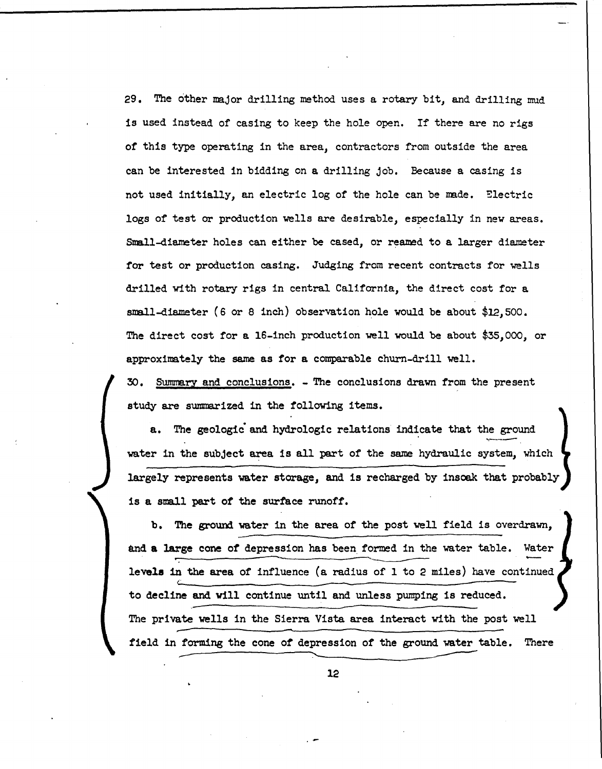29. The other major drilling method uses a rotary bit, and drilling mud is used instead of casing to keep the hole open. If there are no rigs of this type operating in the area, contractors from outside the area can be interested in bidding on **a** drilling job. Because a casing is not used initially, an electric log of the hole can be mde. Electric logs of test or production vells are desirable, especially in new areas. Small-diameter holes can either be cased, or reamed to a larger diameter for test or production casing. Judging from recent contracts for wells drilled with rotary rigs in central California, the direct cost for a small-diameter (6 or 8 inch) observation hole would be about  $$12,500$ . The direct cost for a 16-inch production well would be about  $$35,000$ , or approximately the same as for a comparable churn-drill well.

30. Summary and conclusions. - The conclusions drawn from the present study are summarized in the following items.

a. The geologic and hydrologic relations indicate that the ground water in the subject area is all part of the same hydraulic system, which largely represents water storage, and is recharged by insoak that probably is a small part of the surface runoff.

b. The ground water in the area of the post well field is overdrawn, and a large cone of depression has been formed in the water table. Water levels in the area of influence (a radius of 1 to 2 miles) have continued to decline and will continue until and unless pumping is reduced. The private wells in the Sierra Vista area interact with the post well field in forming the cone of depression of the ground water table. There forming the cone of depression of the ground water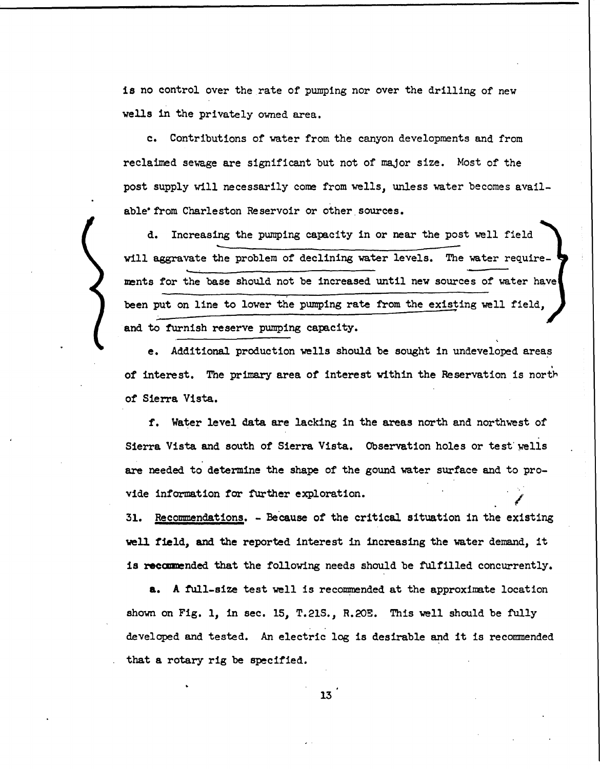is no control over the rate of pumping nor over the drilling of new **wells** in the privately owned area.

c. Contributions of wter from the canyon developments and from reclaimed sewage are significant but not of major size. Most of the post supply will necessarily come from wells, unless water becomes available' from Charleston Reservoir or other sources.

d. Increasing the pumping capacity in or near the post well field will aggravate the problem of declining water levels. The water require**ments** for the base should not be increased until new sources of water have been put on line to lower the pumping rate from the existing well field, and to furnish reserve pumping capacity.

e. Additional production wells should be sought in undeveloped areas of interest. The primary area of interest within the Reservation is north of Sierra Vista.

f. Water level data are lacking in the areas north and northwest of Sierra Vista and south of Sierra Vista. Observation holes or test wells are needed to determine the shape of the gound water surface and to provide information for further exploration.

31. Recommendations. - Because of the critical situation in the existing **\!ell field, and the reported** interest in **increasing** the wter demand, it **is reccmnended** that the following needs should be fulfilled concurrently.

**a.** A full-size test well is recommended at the approximate location shown on Fig. 1, in sec. 15, T.21S., R.20E. This well should be fully developed and tested. An electric log is desirable and it is recommended that a rotary rig be specified.